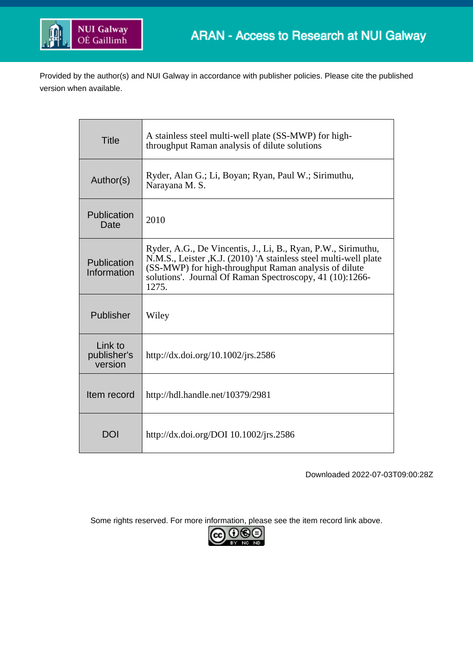

Provided by the author(s) and NUI Galway in accordance with publisher policies. Please cite the published version when available.

| <b>Title</b>                      | A stainless steel multi-well plate (SS-MWP) for high-<br>throughput Raman analysis of dilute solutions                                                                                                                                                          |
|-----------------------------------|-----------------------------------------------------------------------------------------------------------------------------------------------------------------------------------------------------------------------------------------------------------------|
| Author(s)                         | Ryder, Alan G.; Li, Boyan; Ryan, Paul W.; Sirimuthu,<br>Narayana M. S.                                                                                                                                                                                          |
| Publication<br>Date               | 2010                                                                                                                                                                                                                                                            |
| Publication<br>Information        | Ryder, A.G., De Vincentis, J., Li, B., Ryan, P.W., Sirimuthu,<br>N.M.S., Leister, K.J. (2010) 'A stainless steel multi-well plate<br>(SS-MWP) for high-throughput Raman analysis of dilute<br>solutions'. Journal Of Raman Spectroscopy, 41 (10):1266-<br>1275. |
| Publisher                         | Wiley                                                                                                                                                                                                                                                           |
| Link to<br>publisher's<br>version | http://dx.doi.org/10.1002/jrs.2586                                                                                                                                                                                                                              |
| Item record                       | http://hdl.handle.net/10379/2981                                                                                                                                                                                                                                |
| DOI                               | http://dx.doi.org/DOI 10.1002/jrs.2586                                                                                                                                                                                                                          |

Downloaded 2022-07-03T09:00:28Z

Some rights reserved. For more information, please see the item record link above.

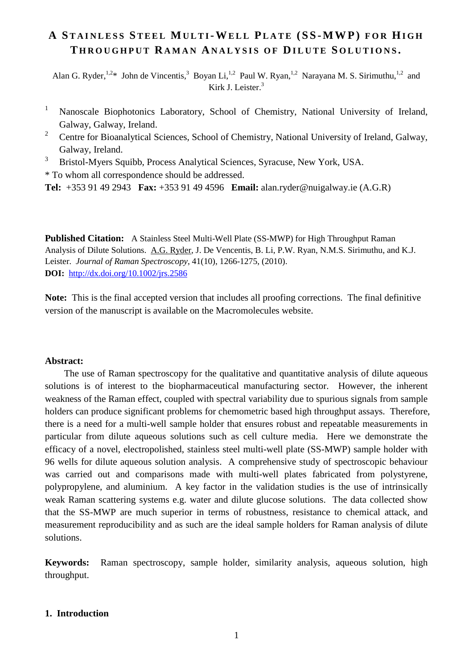# **A S TAINLESS S TEEL MULTI-WELL P LATE (SS-MWP) FOR HIGH T HROUGHPUT RAMAN ANALYS I S OF DILUTE S OLUTIONS .**

Alan G. Ryder,  $^{1,2}$  John de Vincentis,<sup>3</sup> Boyan Li, <sup>1,2</sup> Paul W. Ryan, <sup>1,2</sup> Narayana M. S. Sirimuthu, <sup>1,2</sup> and Kirk J. Leister. 3

- <sup>1</sup> Nanoscale Biophotonics Laboratory, School of Chemistry, National University of Ireland, Galway, Galway, Ireland.
- <sup>2</sup> Centre for Bioanalytical Sciences, School of Chemistry, National University of Ireland, Galway, Galway, Ireland.
- <sup>3</sup> Bristol-Myers Squibb, Process Analytical Sciences, Syracuse, New York, USA.

\* To whom all correspondence should be addressed.

**Tel:** +353 91 49 2943 **Fax:** +353 91 49 4596 **Email:** alan.ryder@nuigalway.ie (A.G.R)

**Published Citation:** A Stainless Steel Multi-Well Plate (SS-MWP) for High Throughput Raman Analysis of Dilute Solutions. A.G. Ryder, J. De Vencentis, B. Li, P.W. Ryan, N.M.S. Sirimuthu, and K.J. Leister. *Journal of Raman Spectroscopy*, 41(10), 1266-1275, (2010). **DOI:** http://dx.doi.org/10.1002/jrs.2586

**Note:** This is the final accepted version that includes all proofing corrections. The final definitive version of the manuscript is available on the Macromolecules website.

### **Abstract:**

The use of Raman spectroscopy for the qualitative and quantitative analysis of dilute aqueous solutions is of interest to the biopharmaceutical manufacturing sector. However, the inherent weakness of the Raman effect, coupled with spectral variability due to spurious signals from sample holders can produce significant problems for chemometric based high throughput assays. Therefore, there is a need for a multi-well sample holder that ensures robust and repeatable measurements in particular from dilute aqueous solutions such as cell culture media. Here we demonstrate the efficacy of a novel, electropolished, stainless steel multi-well plate (SS-MWP) sample holder with 96 wells for dilute aqueous solution analysis. A comprehensive study of spectroscopic behaviour was carried out and comparisons made with multi-well plates fabricated from polystyrene, polypropylene, and aluminium. A key factor in the validation studies is the use of intrinsically weak Raman scattering systems e.g. water and dilute glucose solutions. The data collected show that the SS-MWP are much superior in terms of robustness, resistance to chemical attack, and measurement reproducibility and as such are the ideal sample holders for Raman analysis of dilute solutions.

**Keywords:** Raman spectroscopy, sample holder, similarity analysis, aqueous solution, high throughput.

# **1. Introduction**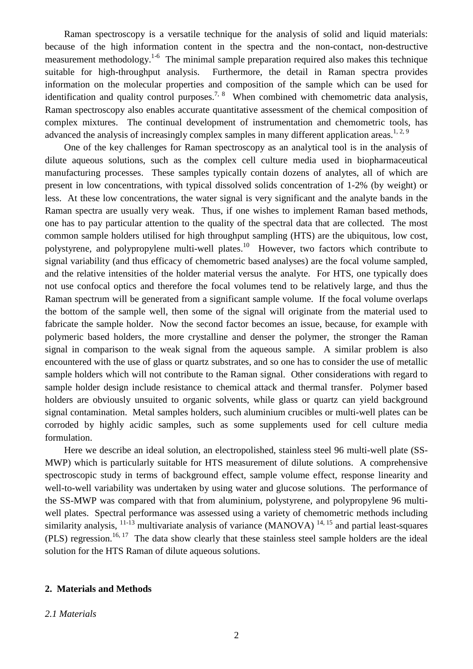Raman spectroscopy is a versatile technique for the analysis of solid and liquid materials: because of the high information content in the spectra and the non-contact, non-destructive measurement methodology.<sup>1-6</sup> The minimal sample preparation required also makes this technique suitable for high-throughput analysis. Furthermore, the detail in Raman spectra provides information on the molecular properties and composition of the sample which can be used for identification and quality control purposes.<sup>7, 8</sup> When combined with chemometric data analysis, Raman spectroscopy also enables accurate quantitative assessment of the chemical composition of complex mixtures. The continual development of instrumentation and chemometric tools, has advanced the analysis of increasingly complex samples in many different application areas.<sup>1, 2, 9</sup>

One of the key challenges for Raman spectroscopy as an analytical tool is in the analysis of dilute aqueous solutions, such as the complex cell culture media used in biopharmaceutical manufacturing processes. These samples typically contain dozens of analytes, all of which are present in low concentrations, with typical dissolved solids concentration of 1-2% (by weight) or less. At these low concentrations, the water signal is very significant and the analyte bands in the Raman spectra are usually very weak. Thus, if one wishes to implement Raman based methods, one has to pay particular attention to the quality of the spectral data that are collected. The most common sample holders utilised for high throughput sampling (HTS) are the ubiquitous, low cost, polystyrene, and polypropylene multi-well plates.<sup>10</sup> However, two factors which contribute to signal variability (and thus efficacy of chemometric based analyses) are the focal volume sampled, and the relative intensities of the holder material versus the analyte. For HTS, one typically does not use confocal optics and therefore the focal volumes tend to be relatively large, and thus the Raman spectrum will be generated from a significant sample volume. If the focal volume overlaps the bottom of the sample well, then some of the signal will originate from the material used to fabricate the sample holder. Now the second factor becomes an issue, because, for example with polymeric based holders, the more crystalline and denser the polymer, the stronger the Raman signal in comparison to the weak signal from the aqueous sample. A similar problem is also encountered with the use of glass or quartz substrates, and so one has to consider the use of metallic sample holders which will not contribute to the Raman signal. Other considerations with regard to sample holder design include resistance to chemical attack and thermal transfer. Polymer based holders are obviously unsuited to organic solvents, while glass or quartz can yield background signal contamination. Metal samples holders, such aluminium crucibles or multi-well plates can be corroded by highly acidic samples, such as some supplements used for cell culture media formulation.

Here we describe an ideal solution, an electropolished, stainless steel 96 multi-well plate (SS-MWP) which is particularly suitable for HTS measurement of dilute solutions. A comprehensive spectroscopic study in terms of background effect, sample volume effect, response linearity and well-to-well variability was undertaken by using water and glucose solutions. The performance of the SS-MWP was compared with that from aluminium, polystyrene, and polypropylene 96 multiwell plates. Spectral performance was assessed using a variety of chemometric methods including similarity analysis,  $^{11-13}$  multivariate analysis of variance (MANOVA)  $^{14, 15}$  and partial least-squares (PLS) regression.<sup>16, 17</sup> The data show clearly that these stainless steel sample holders are the ideal solution for the HTS Raman of dilute aqueous solutions.

# **2. Materials and Methods**

#### *2.1 Materials*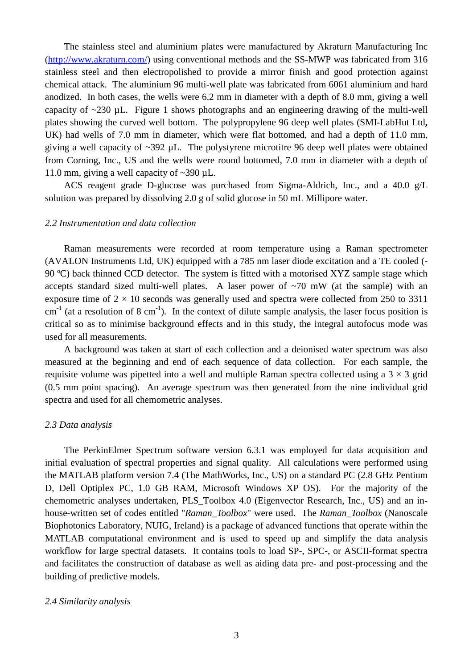The stainless steel and aluminium plates were manufactured by Akraturn Manufacturing Inc (http://www.akraturn.com/) using conventional methods and the SS-MWP was fabricated from 316 stainless steel and then electropolished to provide a mirror finish and good protection against chemical attack. The aluminium 96 multi-well plate was fabricated from 6061 aluminium and hard anodized. In both cases, the wells were 6.2 mm in diameter with a depth of 8.0 mm, giving a well capacity of  $\sim$ 230 µL. Figure 1 shows photographs and an engineering drawing of the multi-well plates showing the curved well bottom. The polypropylene 96 deep well plates (SMI-LabHut Ltd**,** UK) had wells of 7.0 mm in diameter, which were flat bottomed, and had a depth of 11.0 mm, giving a well capacity of  $\sim$ 392 µL. The polystyrene microtitre 96 deep well plates were obtained from Corning, Inc., US and the wells were round bottomed, 7.0 mm in diameter with a depth of 11.0 mm, giving a well capacity of ~390 µL.

ACS reagent grade D-glucose was purchased from Sigma-Aldrich, Inc., and a 40.0 g/L solution was prepared by dissolving 2.0 g of solid glucose in 50 mL Millipore water.

## *2.2 Instrumentation and data collection*

Raman measurements were recorded at room temperature using a Raman spectrometer (AVALON Instruments Ltd, UK) equipped with a 785 nm laser diode excitation and a TE cooled (- 90 ºC) back thinned CCD detector. The system is fitted with a motorised XYZ sample stage which accepts standard sized multi-well plates. A laser power of  $\sim$ 70 mW (at the sample) with an exposure time of  $2 \times 10$  seconds was generally used and spectra were collected from 250 to 3311  $cm^{-1}$  (at a resolution of 8 cm<sup>-1</sup>). In the context of dilute sample analysis, the laser focus position is critical so as to minimise background effects and in this study, the integral autofocus mode was used for all measurements.

A background was taken at start of each collection and a deionised water spectrum was also measured at the beginning and end of each sequence of data collection. For each sample, the requisite volume was pipetted into a well and multiple Raman spectra collected using a  $3 \times 3$  grid (0.5 mm point spacing). An average spectrum was then generated from the nine individual grid spectra and used for all chemometric analyses.

#### *2.3 Data analysis*

The PerkinElmer Spectrum software version 6.3.1 was employed for data acquisition and initial evaluation of spectral properties and signal quality. All calculations were performed using the MATLAB platform version 7.4 (The MathWorks, Inc., US) on a standard PC (2.8 GHz Pentium D, Dell Optiplex PC, 1.0 GB RAM, Microsoft Windows XP OS). For the majority of the chemometric analyses undertaken, PLS\_Toolbox 4.0 (Eigenvector Research, Inc., US) and an inhouse-written set of codes entitled "*Raman\_Toolbox*" were used. The *Raman\_Toolbox* (Nanoscale Biophotonics Laboratory, NUIG, Ireland) is a package of advanced functions that operate within the MATLAB computational environment and is used to speed up and simplify the data analysis workflow for large spectral datasets. It contains tools to load SP-, SPC-, or ASCII-format spectra and facilitates the construction of database as well as aiding data pre- and post-processing and the building of predictive models.

#### *2.4 Similarity analysis*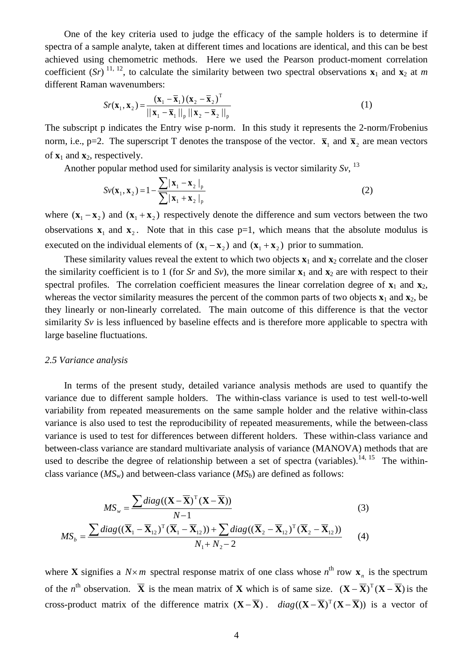One of the key criteria used to judge the efficacy of the sample holders is to determine if spectra of a sample analyte, taken at different times and locations are identical, and this can be best achieved using chemometric methods. Here we used the Pearson product-moment correlation coefficient  $(Sr)^{11, 12}$ , to calculate the similarity between two spectral observations  $\mathbf{x}_1$  and  $\mathbf{x}_2$  at *m* different Raman wavenumbers:

$$
Sr(\mathbf{x}_1, \mathbf{x}_2) = \frac{(\mathbf{x}_1 - \overline{\mathbf{x}}_1)(\mathbf{x}_2 - \overline{\mathbf{x}}_2)^T}{\left|\left|\left|\mathbf{x}_1 - \overline{\mathbf{x}}_1\right|\right|\right|_p \left|\left|\left|\mathbf{x}_2 - \overline{\mathbf{x}}_2\right|\right|\right|_p}
$$
(1)

The subscript p indicates the Entry wise p-norm. In this study it represents the 2-norm/Frobenius norm, i.e., p=2. The superscript T denotes the transpose of the vector.  $\bar{\mathbf{x}}_1$  and  $\bar{\mathbf{x}}_2$  are mean vectors of  $\mathbf{x}_1$  and  $\mathbf{x}_2$ , respectively.

Another popular method used for similarity analysis is vector similarity *Sv*, <sup>13</sup>

$$
Sv(\mathbf{x}_1, \mathbf{x}_2) = 1 - \frac{\sum |\mathbf{x}_1 - \mathbf{x}_2|_p}{\sum |\mathbf{x}_1 + \mathbf{x}_2|_p}
$$
(2)

where  $({\bf x}_1 - {\bf x}_2)$  and  $({\bf x}_1 + {\bf x}_2)$  respectively denote the difference and sum vectors between the two observations  $x_1$  and  $x_2$ . Note that in this case  $p=1$ , which means that the absolute modulus is executed on the individual elements of  $({\bf x}_1 - {\bf x}_2)$  and  $({\bf x}_1 + {\bf x}_2)$  prior to summation.

These similarity values reveal the extent to which two objects  $\mathbf{x}_1$  and  $\mathbf{x}_2$  correlate and the closer the similarity coefficient is to 1 (for *Sr* and *Sv*), the more similar  $\mathbf{x}_1$  and  $\mathbf{x}_2$  are with respect to their spectral profiles. The correlation coefficient measures the linear correlation degree of  $\mathbf{x}_1$  and  $\mathbf{x}_2$ , whereas the vector similarity measures the percent of the common parts of two objects  $\mathbf{x}_1$  and  $\mathbf{x}_2$ , be they linearly or non-linearly correlated. The main outcome of this difference is that the vector similarity *Sv* is less influenced by baseline effects and is therefore more applicable to spectra with large baseline fluctuations.

# *2.5 Variance analysis*

In terms of the present study, detailed variance analysis methods are used to quantify the variance due to different sample holders. The within-class variance is used to test well-to-well variabilit*y* from repeated measurements on the same sample holder and the relative within-class variance is also used to test the reproducibility of repeated measurements, while the between-class variance is used to test for differences between different holders. These within-class variance and between-class variance are standard multivariate analysis of variance (MANOVA) methods that are used to describe the degree of relationship between a set of spectra (variables).<sup>14, 15</sup> The withinclass variance  $(MS_w)$  and between-class variance  $(MS_b)$  are defined as follows:

$$
MS_w = \frac{\sum diag((\mathbf{X} - \overline{\mathbf{X}})^T (\mathbf{X} - \overline{\mathbf{X}}))}{N-1}
$$
(3)  

$$
MS_b = \frac{\sum diag((\overline{\mathbf{X}}_1 - \overline{\mathbf{X}}_{12})^T (\overline{\mathbf{X}}_1 - \overline{\mathbf{X}}_{12})) + \sum diag((\overline{\mathbf{X}}_2 - \overline{\mathbf{X}}_{12})^T (\overline{\mathbf{X}}_2 - \overline{\mathbf{X}}_{12}))}{N_1 + N_2 - 2}
$$
(4)

where **X** signifies a  $N \times m$  spectral response matrix of one class whose  $n^{\text{th}}$  row  $\mathbf{x}_n$  is the spectrum of the *n*<sup>th</sup> observation.  $\overline{X}$  is the mean matrix of **X** which is of same size.  $(X - \overline{X})^T(X - \overline{X})$  is the cross-product matrix of the difference matrix  $(\mathbf{X} - \overline{\mathbf{X}})$ .  $diag((\mathbf{X} - \overline{\mathbf{X}})^T(\mathbf{X} - \overline{\mathbf{X}}))$  is a vector of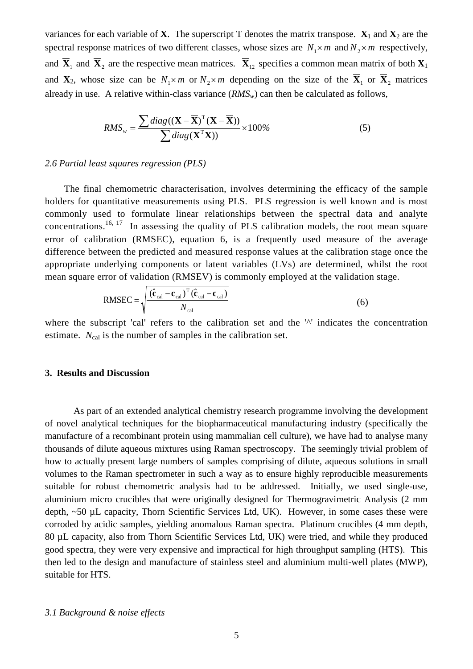variances for each variable of **X**. The superscript T denotes the matrix transpose.  $\mathbf{X}_1$  and  $\mathbf{X}_2$  are the spectral response matrices of two different classes, whose sizes are  $N_1 \times m$  and  $N_2 \times m$  respectively, and  $\overline{X}_1$  and  $\overline{X}_2$  are the respective mean matrices.  $\overline{X}_{12}$  specifies a common mean matrix of both  $X_1$ and **X**<sub>2</sub>, whose size can be  $N_1 \times m$  or  $N_2 \times m$  depending on the size of the  $\overline{X}_1$  or  $\overline{X}_2$  matrices already in use. A relative within-class variance  $(RMS<sub>w</sub>)$  can then be calculated as follows,

$$
RMS_w = \frac{\sum diag((\mathbf{X} - \overline{\mathbf{X}})^T (\mathbf{X} - \overline{\mathbf{X}}))}{\sum diag(\mathbf{X}^T \mathbf{X}))} \times 100\%
$$
 (5)

# *2.6 Partial least squares regression (PLS)*

The final chemometric characterisation, involves determining the efficacy of the sample holders for quantitative measurements using PLS. PLS regression is well known and is most commonly used to formulate linear relationships between the spectral data and analyte concentrations.<sup>16, 17</sup> In assessing the quality of PLS calibration models, the root mean square error of calibration (RMSEC), equation 6, is a frequently used measure of the average difference between the predicted and measured response values at the calibration stage once the appropriate underlying components or latent variables (LVs) are determined, whilst the root mean square error of validation (RMSEV) is commonly employed at the validation stage.

RMSEC = 
$$
\sqrt{\frac{(\hat{\mathbf{c}}_{\text{cal}} - \mathbf{c}_{\text{cal}})^{\text{T}}(\hat{\mathbf{c}}_{\text{cal}} - \mathbf{c}_{\text{cal}})}{N_{\text{cal}}}}
$$
(6)

where the subscript 'cal' refers to the calibration set and the '<sup>^'</sup> indicates the concentration estimate.  $N_{cal}$  is the number of samples in the calibration set.

# **3. Results and Discussion**

As part of an extended analytical chemistry research programme involving the development of novel analytical techniques for the biopharmaceutical manufacturing industry (specifically the manufacture of a recombinant protein using mammalian cell culture), we have had to analyse many thousands of dilute aqueous mixtures using Raman spectroscopy. The seemingly trivial problem of how to actually present large numbers of samples comprising of dilute, aqueous solutions in small volumes to the Raman spectrometer in such a way as to ensure highly reproducible measurements suitable for robust chemometric analysis had to be addressed. Initially, we used single-use, aluminium micro crucibles that were originally designed for Thermogravimetric Analysis (2 mm depth, ~50 µL capacity, Thorn Scientific Services Ltd, UK). However, in some cases these were corroded by acidic samples, yielding anomalous Raman spectra. Platinum crucibles (4 mm depth, 80 µL capacity, also from Thorn Scientific Services Ltd, UK) were tried, and while they produced good spectra, they were very expensive and impractical for high throughput sampling (HTS). This then led to the design and manufacture of stainless steel and aluminium multi-well plates (MWP), suitable for HTS.

# *3.1 Background & noise effects*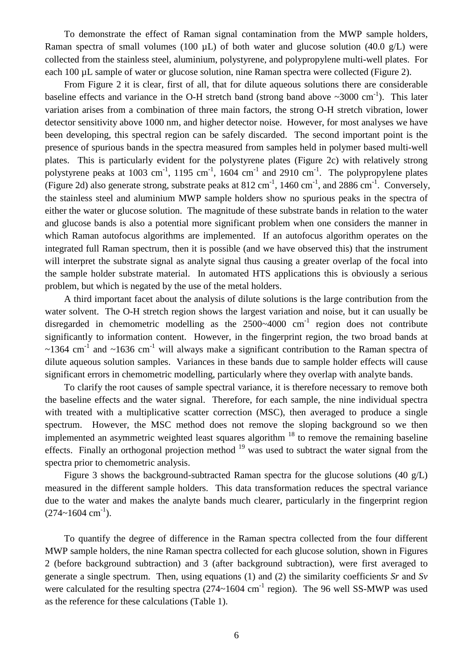To demonstrate the effect of Raman signal contamination from the MWP sample holders, Raman spectra of small volumes (100  $\mu$ L) of both water and glucose solution (40.0 g/L) were collected from the stainless steel, aluminium, polystyrene, and polypropylene multi-well plates. For each 100 µL sample of water or glucose solution, nine Raman spectra were collected (Figure 2).

From Figure 2 it is clear, first of all, that for dilute aqueous solutions there are considerable baseline effects and variance in the O-H stretch band (strong band above  $\sim 3000 \text{ cm}^{-1}$ ). This later variation arises from a combination of three main factors, the strong O-H stretch vibration, lower detector sensitivity above 1000 nm, and higher detector noise. However, for most analyses we have been developing, this spectral region can be safely discarded. The second important point is the presence of spurious bands in the spectra measured from samples held in polymer based multi-well plates. This is particularly evident for the polystyrene plates (Figure 2c) with relatively strong polystyrene peaks at 1003 cm<sup>-1</sup>, 1195 cm<sup>-1</sup>, 1604 cm<sup>-1</sup> and 2910 cm<sup>-1</sup>. The polypropylene plates (Figure 2d) also generate strong, substrate peaks at  $812 \text{ cm}^{-1}$ ,  $1460 \text{ cm}^{-1}$ , and  $2886 \text{ cm}^{-1}$ . Conversely, the stainless steel and aluminium MWP sample holders show no spurious peaks in the spectra of either the water or glucose solution. The magnitude of these substrate bands in relation to the water and glucose bands is also a potential more significant problem when one considers the manner in which Raman autofocus algorithms are implemented. If an autofocus algorithm operates on the integrated full Raman spectrum, then it is possible (and we have observed this) that the instrument will interpret the substrate signal as analyte signal thus causing a greater overlap of the focal into the sample holder substrate material. In automated HTS applications this is obviously a serious problem, but which is negated by the use of the metal holders.

A third important facet about the analysis of dilute solutions is the large contribution from the water solvent. The O-H stretch region shows the largest variation and noise, but it can usually be disregarded in chemometric modelling as the  $2500~-4000$  cm<sup>-1</sup> region does not contribute significantly to information content. However, in the fingerprint region, the two broad bands at  $\sim$ 1364 cm<sup>-1</sup> and  $\sim$ 1636 cm<sup>-1</sup> will always make a significant contribution to the Raman spectra of dilute aqueous solution samples. Variances in these bands due to sample holder effects will cause significant errors in chemometric modelling, particularly where they overlap with analyte bands.

To clarify the root causes of sample spectral variance, it is therefore necessary to remove both the baseline effects and the water signal. Therefore, for each sample, the nine individual spectra with treated with a multiplicative scatter correction (MSC), then averaged to produce a single spectrum. However, the MSC method does not remove the sloping background so we then implemented an asymmetric weighted least squares algorithm  $18$  to remove the remaining baseline effects. Finally an orthogonal projection method  $19$  was used to subtract the water signal from the spectra prior to chemometric analysis.

Figure 3 shows the background-subtracted Raman spectra for the glucose solutions (40 g/L) measured in the different sample holders. This data transformation reduces the spectral variance due to the water and makes the analyte bands much clearer, particularly in the fingerprint region  $(274 \sim 1604 \text{ cm}^{-1}).$ 

To quantify the degree of difference in the Raman spectra collected from the four different MWP sample holders, the nine Raman spectra collected for each glucose solution, shown in Figures 2 (before background subtraction) and 3 (after background subtraction), were first averaged to generate a single spectrum. Then, using equations (1) and (2) the similarity coefficients *Sr* and *Sv* were calculated for the resulting spectra  $(274 \sim 1604 \text{ cm}^{-1}$  region). The 96 well SS-MWP was used as the reference for these calculations (Table 1).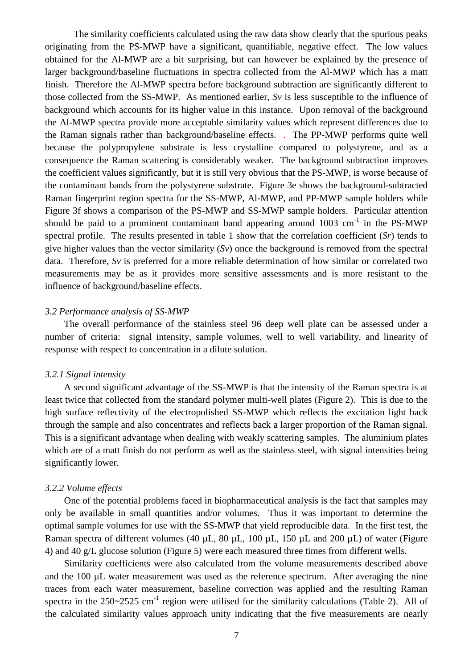The similarity coefficients calculated using the raw data show clearly that the spurious peaks originating from the PS-MWP have a significant, quantifiable, negative effect. The low values obtained for the Al-MWP are a bit surprising, but can however be explained by the presence of larger background/baseline fluctuations in spectra collected from the Al-MWP which has a matt finish. Therefore the Al-MWP spectra before background subtraction are significantly different to those collected from the SS-MWP. As mentioned earlier, *Sv* is less susceptible to the influence of background which accounts for its higher value in this instance. Upon removal of the background the Al-MWP spectra provide more acceptable similarity values which represent differences due to the Raman signals rather than background/baseline effects. . The PP-MWP performs quite well because the polypropylene substrate is less crystalline compared to polystyrene, and as a consequence the Raman scattering is considerably weaker. The background subtraction improves the coefficient values significantly, but it is still very obvious that the PS-MWP, is worse because of the contaminant bands from the polystyrene substrate. Figure 3e shows the background-subtracted Raman fingerprint region spectra for the SS-MWP, Al-MWP, and PP-MWP sample holders while Figure 3f shows a comparison of the PS-MWP and SS-MWP sample holders. Particular attention should be paid to a prominent contaminant band appearing around  $1003 \text{ cm}^{-1}$  in the PS-MWP spectral profile. The results presented in table 1 show that the correlation coefficient (*Sr*) tends to give higher values than the vector similarity (*Sv*) once the background is removed from the spectral data. Therefore, *Sv* is preferred for a more reliable determination of how similar or correlated two measurements may be as it provides more sensitive assessments and is more resistant to the influence of background/baseline effects.

# *3.2 Performance analysis of SS-MWP*

The overall performance of the stainless steel 96 deep well plate can be assessed under a number of criteria: signal intensity, sample volumes, well to well variability, and linearity of response with respect to concentration in a dilute solution.

### *3.2.1 Signal intensity*

A second significant advantage of the SS-MWP is that the intensity of the Raman spectra is at least twice that collected from the standard polymer multi-well plates (Figure 2). This is due to the high surface reflectivity of the electropolished SS-MWP which reflects the excitation light back through the sample and also concentrates and reflects back a larger proportion of the Raman signal. This is a significant advantage when dealing with weakly scattering samples. The aluminium plates which are of a matt finish do not perform as well as the stainless steel, with signal intensities being significantly lower.

# *3.2.2 Volume effects*

One of the potential problems faced in biopharmaceutical analysis is the fact that samples may only be available in small quantities and/or volumes. Thus it was important to determine the optimal sample volumes for use with the SS-MWP that yield reproducible data. In the first test, the Raman spectra of different volumes (40 µL, 80 µL, 100 µL, 150 µL and 200 µL) of water (Figure 4) and 40 g/L glucose solution (Figure 5) were each measured three times from different wells.

Similarity coefficients were also calculated from the volume measurements described above and the  $100 \mu L$  water measurement was used as the reference spectrum. After averaging the nine traces from each water measurement, baseline correction was applied and the resulting Raman spectra in the  $250-2525$  cm<sup>-1</sup> region were utilised for the similarity calculations (Table 2). All of the calculated similarity values approach unity indicating that the five measurements are nearly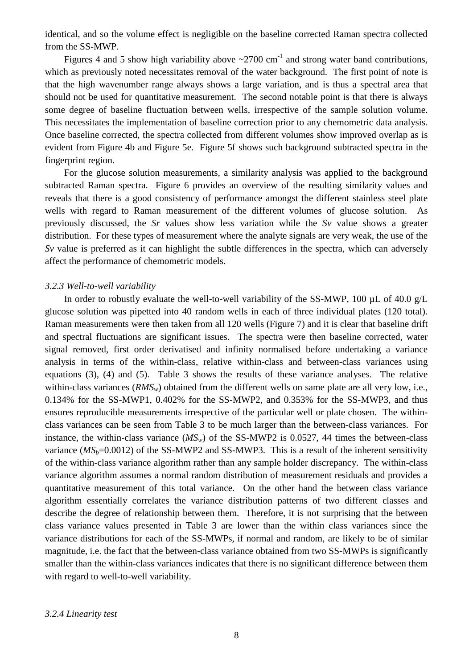identical, and so the volume effect is negligible on the baseline corrected Raman spectra collected from the SS-MWP.

Figures 4 and 5 show high variability above  $\sim$ 2700 cm<sup>-1</sup> and strong water band contributions, which as previously noted necessitates removal of the water background. The first point of note is that the high wavenumber range always shows a large variation, and is thus a spectral area that should not be used for quantitative measurement. The second notable point is that there is always some degree of baseline fluctuation between wells, irrespective of the sample solution volume. This necessitates the implementation of baseline correction prior to any chemometric data analysis. Once baseline corrected, the spectra collected from different volumes show improved overlap as is evident from Figure 4b and Figure 5e. Figure 5f shows such background subtracted spectra in the fingerprint region.

For the glucose solution measurements, a similarity analysis was applied to the background subtracted Raman spectra. Figure 6 provides an overview of the resulting similarity values and reveals that there is a good consistency of performance amongst the different stainless steel plate wells with regard to Raman measurement of the different volumes of glucose solution. As previously discussed, the *Sr* values show less variation while the *Sv* value shows a greater distribution. For these types of measurement where the analyte signals are very weak, the use of the *Sv* value is preferred as it can highlight the subtle differences in the spectra, which can adversely affect the performance of chemometric models.

# *3.2.3 Well-to-well variability*

In order to robustly evaluate the well-to-well variability of the SS-MWP, 100 µL of 40.0 g/L glucose solution was pipetted into 40 random wells in each of three individual plates (120 total). Raman measurements were then taken from all 120 wells (Figure 7) and it is clear that baseline drift and spectral fluctuations are significant issues. The spectra were then baseline corrected, water signal removed, first order derivatised and infinity normalised before undertaking a variance analysis in terms of the within-class, relative within-class and between-class variances using equations (3), (4) and (5). Table 3 shows the results of these variance analyses. The relative within-class variances (*RMS<sub>w</sub>*) obtained from the different wells on same plate are all very low, i.e., 0.134% for the SS-MWP1, 0.402% for the SS-MWP2, and 0.353% for the SS-MWP3, and thus ensures reproducible measurements irrespective of the particular well or plate chosen. The withinclass variances can be seen from Table 3 to be much larger than the between-class variances. For instance, the within-class variance  $(MS_w)$  of the SS-MWP2 is 0.0527, 44 times the between-class variance  $(MS_b=0.0012)$  of the SS-MWP2 and SS-MWP3. This is a result of the inherent sensitivity of the within-class variance algorithm rather than any sample holder discrepancy. The within-class variance algorithm assumes a normal random distribution of measurement residuals and provides a quantitative measurement of this total variance. On the other hand the between class variance algorithm essentially correlates the variance distribution patterns of two different classes and describe the degree of relationship between them. Therefore, it is not surprising that the between class variance values presented in Table 3 are lower than the within class variances since the variance distributions for each of the SS-MWPs, if normal and random, are likely to be of similar magnitude, i.e. the fact that the between-class variance obtained from two SS-MWPs is significantly smaller than the within-class variances indicates that there is no significant difference between them with regard to well-to-well variability.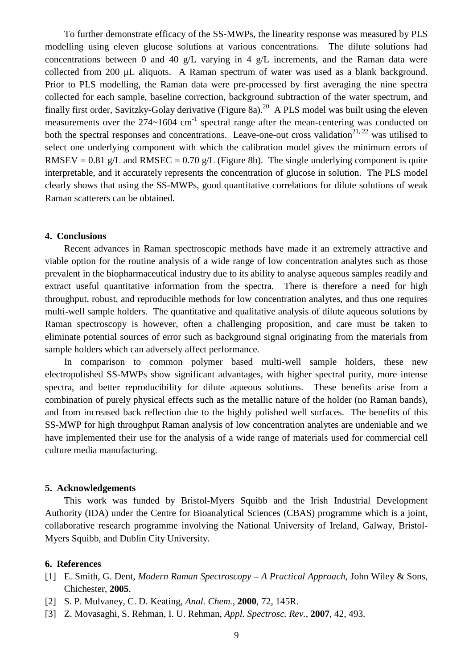To further demonstrate efficacy of the SS-MWPs, the linearity response was measured by PLS modelling using eleven glucose solutions at various concentrations. The dilute solutions had concentrations between 0 and 40 g/L varying in 4 g/L increments, and the Raman data were collected from 200 µL aliquots. A Raman spectrum of water was used as a blank background. Prior to PLS modelling, the Raman data were pre-processed by first averaging the nine spectra collected for each sample, baseline correction, background subtraction of the water spectrum, and finally first order, Savitzky-Golay derivative (Figure 8a).<sup>20</sup> A PLS model was built using the eleven measurements over the  $274~1604$  cm<sup>-1</sup> spectral range after the mean-centering was conducted on both the spectral responses and concentrations. Leave-one-out cross validation<sup>21, 22</sup> was utilised to select one underlying component with which the calibration model gives the minimum errors of RMSEV = 0.81 g/L and RMSEC = 0.70 g/L (Figure 8b). The single underlying component is quite interpretable, and it accurately represents the concentration of glucose in solution. The PLS model clearly shows that using the SS-MWPs, good quantitative correlations for dilute solutions of weak Raman scatterers can be obtained.

### **4. Conclusions**

Recent advances in Raman spectroscopic methods have made it an extremely attractive and viable option for the routine analysis of a wide range of low concentration analytes such as those prevalent in the biopharmaceutical industry due to its ability to analyse aqueous samples readily and extract useful quantitative information from the spectra. There is therefore a need for high throughput, robust, and reproducible methods for low concentration analytes, and thus one requires multi-well sample holders. The quantitative and qualitative analysis of dilute aqueous solutions by Raman spectroscopy is however, often a challenging proposition, and care must be taken to eliminate potential sources of error such as background signal originating from the materials from sample holders which can adversely affect performance.

In comparison to common polymer based multi-well sample holders, these new electropolished SS-MWPs show significant advantages, with higher spectral purity, more intense spectra, and better reproducibility for dilute aqueous solutions. These benefits arise from a combination of purely physical effects such as the metallic nature of the holder (no Raman bands), and from increased back reflection due to the highly polished well surfaces. The benefits of this SS-MWP for high throughput Raman analysis of low concentration analytes are undeniable and we have implemented their use for the analysis of a wide range of materials used for commercial cell culture media manufacturing.

#### **5. Acknowledgements**

This work was funded by Bristol-Myers Squibb and the Irish Industrial Development Authority (IDA) under the Centre for Bioanalytical Sciences (CBAS) programme which is a joint, collaborative research programme involving the National University of Ireland, Galway, Bristol-Myers Squibb, and Dublin City University.

# **6. References**

- [1] E. Smith, G. Dent, *Modern Raman Spectroscopy – A Practical Approach*, John Wiley & Sons, Chichester, **2005**.
- [2] S. P. Mulvaney, C. D. Keating, *Anal. Chem.*, **2000**, 72, 145R.
- [3] Z. Movasaghi, S. Rehman, I. U. Rehman, *Appl. Spectrosc. Rev.*, **2007**, 42, 493.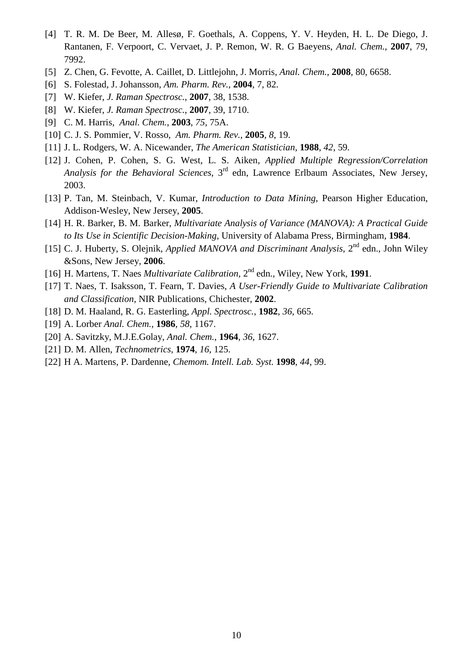- [4] T. R. M. De Beer, M. Allesø, F. Goethals, A. Coppens, Y. V. Heyden, H. L. De Diego, J. Rantanen, F. Verpoort, C. Vervaet, J. P. Remon, W. R. G Baeyens, *Anal. Chem.*, **2007**, 79, 7992.
- [5] Z. Chen, G. Fevotte, A. Caillet, D. Littlejohn, J. Morris, *Anal. Chem.*, **2008**, 80, 6658.
- [6] S. Folestad, J. Johansson, *Am. Pharm. Rev.*, **2004**, 7, 82.
- [7] W. Kiefer, *J. Raman Spectrosc.*, **2007**, 38, 1538.
- [8] W. Kiefer, *J. Raman Spectrosc.*, **2007**, 39, 1710.
- [9] C. M. Harris, *Anal. Chem.*, **2003**, *75*, 75A.
- [10] C. J. S. Pommier, V. Rosso, *Am. Pharm. Rev.*, **2005**, *8*, 19.
- [11] J. L. Rodgers, W. A. Nicewander, *The American Statistician*, **1988**, *42*, 59.
- [12] J. Cohen, P. Cohen, S. G. West, L. S. Aiken, *Applied Multiple Regression/Correlation Analysis for the Behavioral Sciences*, 3rd edn, Lawrence Erlbaum Associates, New Jersey, 2003.
- [13] P. Tan, M. Steinbach, V. Kumar, *Introduction to Data Mining*, Pearson Higher Education, Addison-Wesley, New Jersey, **2005**.
- [14] H. R. Barker, B. M. Barker, *Multivariate Analysis of Variance (MANOVA): A Practical Guide to Its Use in Scientific Decision-Making*, University of Alabama Press, Birmingham, **1984**.
- [15] C. J. Huberty, S. Olejnik, *Applied MANOVA and Discriminant Analysis*, 2<sup>nd</sup> edn., John Wilev &Sons, New Jersey, **2006**.
- [16] H. Martens, T. Naes *Multivariate Calibration*, 2nd edn., Wiley, New York, **1991**.
- [17] T. Naes, T. Isaksson, T. Fearn, T. Davies, *A User-Friendly Guide to Multivariate Calibration and Classification*, NIR Publications, Chichester, **2002**.
- [18] D. M. Haaland, R. G. Easterling, *Appl. Spectrosc.*, **1982**, *36*, 665.
- [19] A. Lorber *Anal. Chem.*, **1986**, *58*, 1167.
- [20] A. Savitzky, M.J.E.Golay, *Anal. Chem.*, **1964**, *36*, 1627.
- [21] D. M. Allen, *Technometrics*, **1974**, *16*, 125.
- [22] H A. Martens, P. Dardenne, *Chemom. Intell. Lab. Syst.* **1998**, *44*, 99.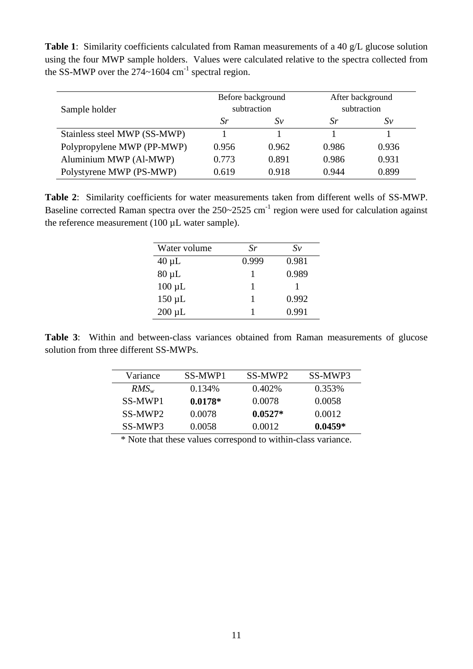**Table 1**: Similarity coefficients calculated from Raman measurements of a 40 g/L glucose solution using the four MWP sample holders. Values were calculated relative to the spectra collected from the SS-MWP over the  $274~1604$  cm<sup>-1</sup> spectral region.

| Sample holder                | Before background<br>subtraction |       | After background<br>subtraction |       |
|------------------------------|----------------------------------|-------|---------------------------------|-------|
|                              | Sr                               | Sv    | Sr.                             | Sv    |
| Stainless steel MWP (SS-MWP) |                                  |       |                                 |       |
| Polypropylene MWP (PP-MWP)   | 0.956                            | 0.962 | 0.986                           | 0.936 |
| Aluminium MWP (Al-MWP)       | 0.773                            | 0.891 | 0.986                           | 0.931 |
| Polystyrene MWP (PS-MWP)     | 0.619                            | 0.918 | 0.944                           | 0.899 |

**Table 2**: Similarity coefficients for water measurements taken from different wells of SS-MWP. Baseline corrected Raman spectra over the  $250~2525$  cm<sup>-1</sup> region were used for calculation against the reference measurement (100 µL water sample).

| Water volume | Sr    | $S_{V}$ |
|--------------|-------|---------|
| $40 \mu L$   | 0.999 | 0.981   |
| $80 \mu L$   |       | 0.989   |
| $100 \mu L$  |       |         |
| $150 \mu L$  |       | 0.992   |
| $200 \mu L$  |       | 0.991   |

**Table 3**: Within and between-class variances obtained from Raman measurements of glucose solution from three different SS-MWPs.

| Variance | SS-MWP1   | SS-MWP2   | SS-MWP3   |
|----------|-----------|-----------|-----------|
| $RMS_w$  | 0.134%    | $0.402\%$ | 0.353%    |
| SS-MWP1  | $0.0178*$ | 0.0078    | 0.0058    |
| SS-MWP2  | 0.0078    | $0.0527*$ | 0.0012    |
| SS-MWP3  | 0.0058    | 0.0012    | $0.0459*$ |

\* Note that these values correspond to within-class variance.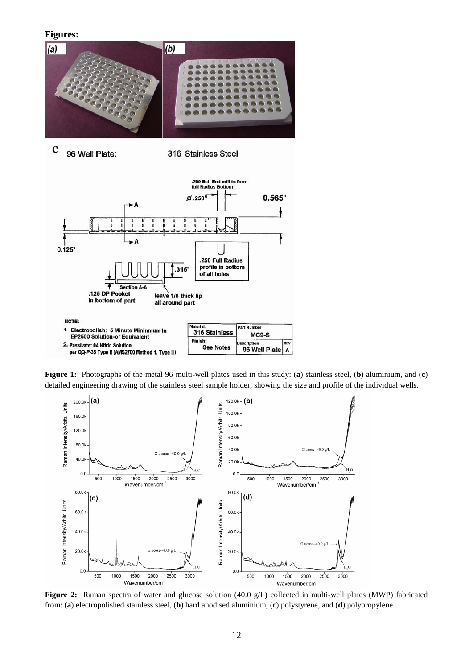#### **Figures:**



 $\mathbf c$ 96 Well Plate:

316 Stainless Steel



**Figure 1:** Photographs of the metal 96 multi-well plates used in this study: (**a**) stainless steel, (**b**) aluminium, and (**c**) detailed engineering drawing of the stainless steel sample holder, showing the size and profile of the individual wells.



**Figure 2:** Raman spectra of water and glucose solution (40.0 g/L) collected in multi-well plates (MWP) fabricated from: (**a**) electropolished stainless steel, (**b**) hard anodised aluminium, (**c**) polystyrene, and (**d**) polypropylene.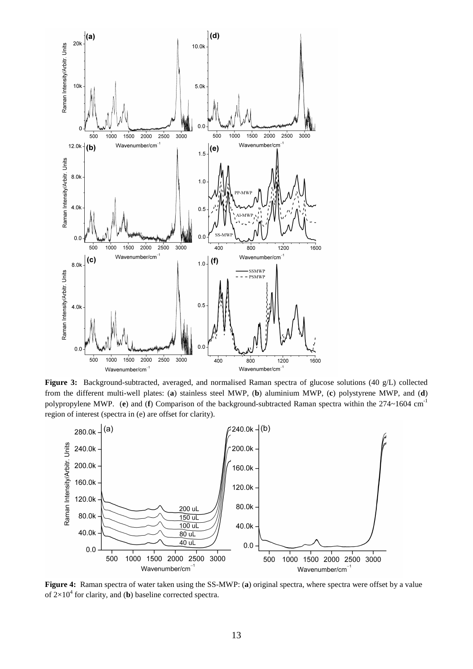

**Figure 3:** Background-subtracted, averaged, and normalised Raman spectra of glucose solutions (40 g/L) collected from the different multi-well plates: (**a**) stainless steel MWP, (**b**) aluminium MWP, (**c**) polystyrene MWP, and (**d**) polypropylene MWP. (**e**) and (**f**) Comparison of the background-subtracted Raman spectra within the 274~1604 cm-1 region of interest (spectra in (e) are offset for clarity).



**Figure 4:** Raman spectra of water taken using the SS-MWP: (**a**) original spectra, where spectra were offset by a value of  $2\times10^4$  for clarity, and (**b**) baseline corrected spectra.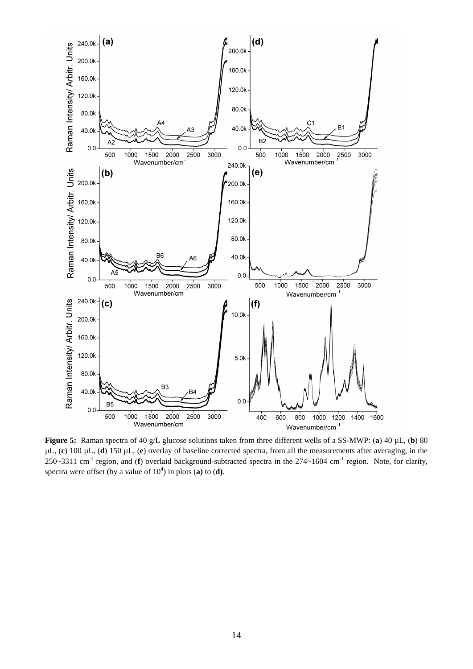

**Figure 5:** Raman spectra of 40 g/L glucose solutions taken from three different wells of a SS-MWP: (**a**) 40 µL, (**b**) 80 µL, (**c**) 100 µL, (**d**) 150 µL, (**e**) overlay of baseline corrected spectra, from all the measurements after averaging, in the 250~3311 cm-1 region, and (**f**) overlaid background-subtracted spectra in the 274~1604 cm-1 region. Note, for clarity, spectra were offset (by a value of  $10<sup>4</sup>$ ) in plots (a) to (d).